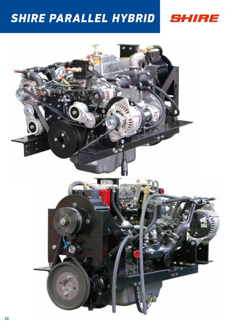# *SHIRE PARALLEL HYBRID*